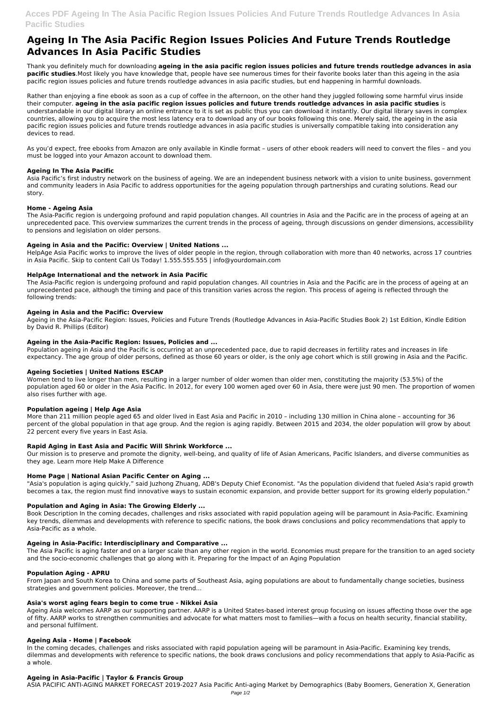# **Acces PDF Ageing In The Asia Pacific Region Issues Policies And Future Trends Routledge Advances In Asia Pacific Studies**

# **Ageing In The Asia Pacific Region Issues Policies And Future Trends Routledge Advances In Asia Pacific Studies**

Thank you definitely much for downloading **ageing in the asia pacific region issues policies and future trends routledge advances in asia pacific studies**.Most likely you have knowledge that, people have see numerous times for their favorite books later than this ageing in the asia pacific region issues policies and future trends routledge advances in asia pacific studies, but end happening in harmful downloads.

Rather than enjoying a fine ebook as soon as a cup of coffee in the afternoon, on the other hand they juggled following some harmful virus inside their computer. **ageing in the asia pacific region issues policies and future trends routledge advances in asia pacific studies** is understandable in our digital library an online entrance to it is set as public thus you can download it instantly. Our digital library saves in complex countries, allowing you to acquire the most less latency era to download any of our books following this one. Merely said, the ageing in the asia pacific region issues policies and future trends routledge advances in asia pacific studies is universally compatible taking into consideration any devices to read.

As you'd expect, free ebooks from Amazon are only available in Kindle format – users of other ebook readers will need to convert the files – and you must be logged into your Amazon account to download them.

# **Ageing In The Asia Pacific**

Asia Pacific's first industry network on the business of ageing. We are an independent business network with a vision to unite business, government and community leaders in Asia Pacific to address opportunities for the ageing population through partnerships and curating solutions. Read our story.

# **Home - Ageing Asia**

The Asia-Pacific region is undergoing profound and rapid population changes. All countries in Asia and the Pacific are in the process of ageing at an unprecedented pace. This overview summarizes the current trends in the process of ageing, through discussions on gender dimensions, accessibility to pensions and legislation on older persons.

# **Ageing in Asia and the Pacific: Overview | United Nations ...**

HelpAge Asia Pacific works to improve the lives of older people in the region, through collaboration with more than 40 networks, across 17 countries in Asia Pacific. Skip to content Call Us Today! 1.555.555.555 | info@yourdomain.com

# **HelpAge International and the network in Asia Pacific**

The Asia-Pacific region is undergoing profound and rapid population changes. All countries in Asia and the Pacific are in the process of ageing at an unprecedented pace, although the timing and pace of this transition varies across the region. This process of ageing is reflected through the following trends:

#### **Ageing in Asia and the Pacific: Overview**

Ageing in the Asia-Pacific Region: Issues, Policies and Future Trends (Routledge Advances in Asia-Pacific Studies Book 2) 1st Edition, Kindle Edition by David R. Phillips (Editor)

#### **Ageing in the Asia-Pacific Region: Issues, Policies and ...**

Population ageing in Asia and the Pacific is occurring at an unprecedented pace, due to rapid decreases in fertility rates and increases in life expectancy. The age group of older persons, defined as those 60 years or older, is the only age cohort which is still growing in Asia and the Pacific.

# **Ageing Societies | United Nations ESCAP**

Women tend to live longer than men, resulting in a larger number of older women than older men, constituting the majority (53.5%) of the population aged 60 or older in the Asia Pacific. In 2012, for every 100 women aged over 60 in Asia, there were just 90 men. The proportion of women also rises further with age.

#### **Population ageing | Help Age Asia**

More than 211 million people aged 65 and older lived in East Asia and Pacific in 2010 – including 130 million in China alone – accounting for 36 percent of the global population in that age group. And the region is aging rapidly. Between 2015 and 2034, the older population will grow by about 22 percent every five years in East Asia.

#### **Rapid Aging in East Asia and Pacific Will Shrink Workforce ...**

Our mission is to preserve and promote the dignity, well-being, and quality of life of Asian Americans, Pacific Islanders, and diverse communities as they age. Learn more Help Make A Difference

# **Home Page | National Asian Pacific Center on Aging ...**

"Asia's population is aging quickly," said Juzhong Zhuang, ADB's Deputy Chief Economist. "As the population dividend that fueled Asia's rapid growth becomes a tax, the region must find innovative ways to sustain economic expansion, and provide better support for its growing elderly population."

# **Population and Aging in Asia: The Growing Elderly ...**

Book Description In the coming decades, challenges and risks associated with rapid population ageing will be paramount in Asia-Pacific. Examining key trends, dilemmas and developments with reference to specific nations, the book draws conclusions and policy recommendations that apply to Asia-Pacific as a whole.

#### **Ageing in Asia-Pacific: Interdisciplinary and Comparative ...**

The Asia Pacific is aging faster and on a larger scale than any other region in the world. Economies must prepare for the transition to an aged society and the socio-economic challenges that go along with it. Preparing for the Impact of an Aging Population

#### **Population Aging - APRU**

From Japan and South Korea to China and some parts of Southeast Asia, aging populations are about to fundamentally change societies, business strategies and government policies. Moreover, the trend...

#### **Asia's worst aging fears begin to come true - Nikkei Asia**

Ageing Asia welcomes AARP as our supporting partner. AARP is a United States-based interest group focusing on issues affecting those over the age of fifty. AARP works to strengthen communities and advocate for what matters most to families—with a focus on health security, financial stability, and personal fulfilment.

#### **Ageing Asia - Home | Facebook**

In the coming decades, challenges and risks associated with rapid population ageing will be paramount in Asia-Pacific. Examining key trends, dilemmas and developments with reference to specific nations, the book draws conclusions and policy recommendations that apply to Asia-Pacific as a whole.

# **Ageing in Asia-Pacific | Taylor & Francis Group**

ASIA PACIFIC ANTI-AGING MARKET FORECAST 2019-2027 Asia Pacific Anti-aging Market by Demographics (Baby Boomers, Generation X, Generation